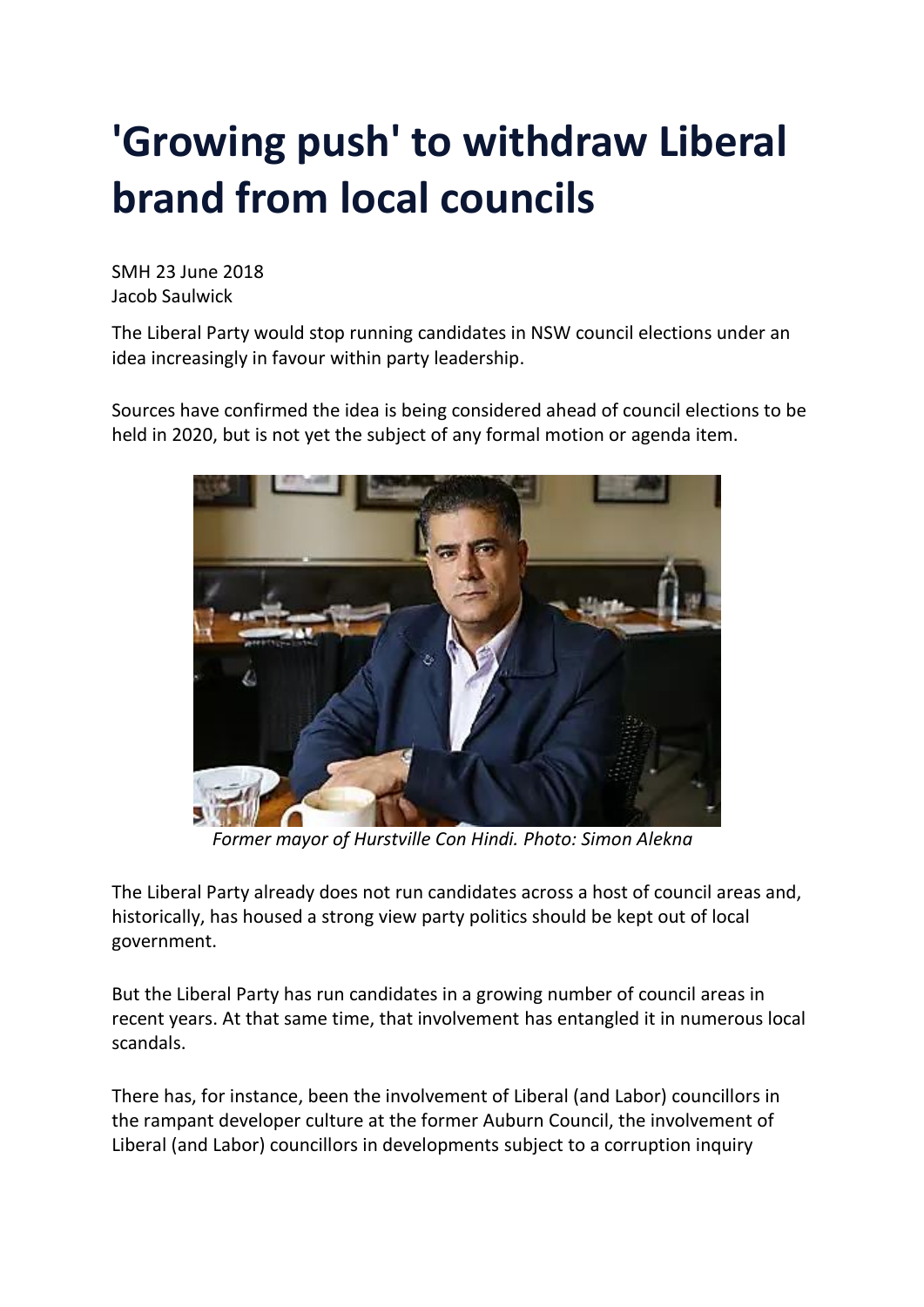## **'Growing push' to withdraw Liberal brand from local councils**

SMH 23 June 2018 Jacob Saulwick

The Liberal Party would stop running candidates in NSW council elections under an idea increasingly in favour within party leadership.

Sources have confirmed the idea is being considered ahead of council elections to be held in 2020, but is not yet the subject of any formal motion or agenda item.



 *Former mayor of Hurstville Con Hindi. Photo: Simon Alekna*

The Liberal Party already does not run candidates across a host of council areas and, historically, has housed a strong view party politics should be kept out of local government.

But the Liberal Party has run candidates in a growing number of council areas in recent years. At that same time, that involvement has entangled it in numerous local scandals.

There has, for instance, been the involvement of Liberal (and Labor) councillors in the rampant developer culture at the former Auburn Council, the involvement of Liberal (and Labor) councillors in developments subject to a corruption inquiry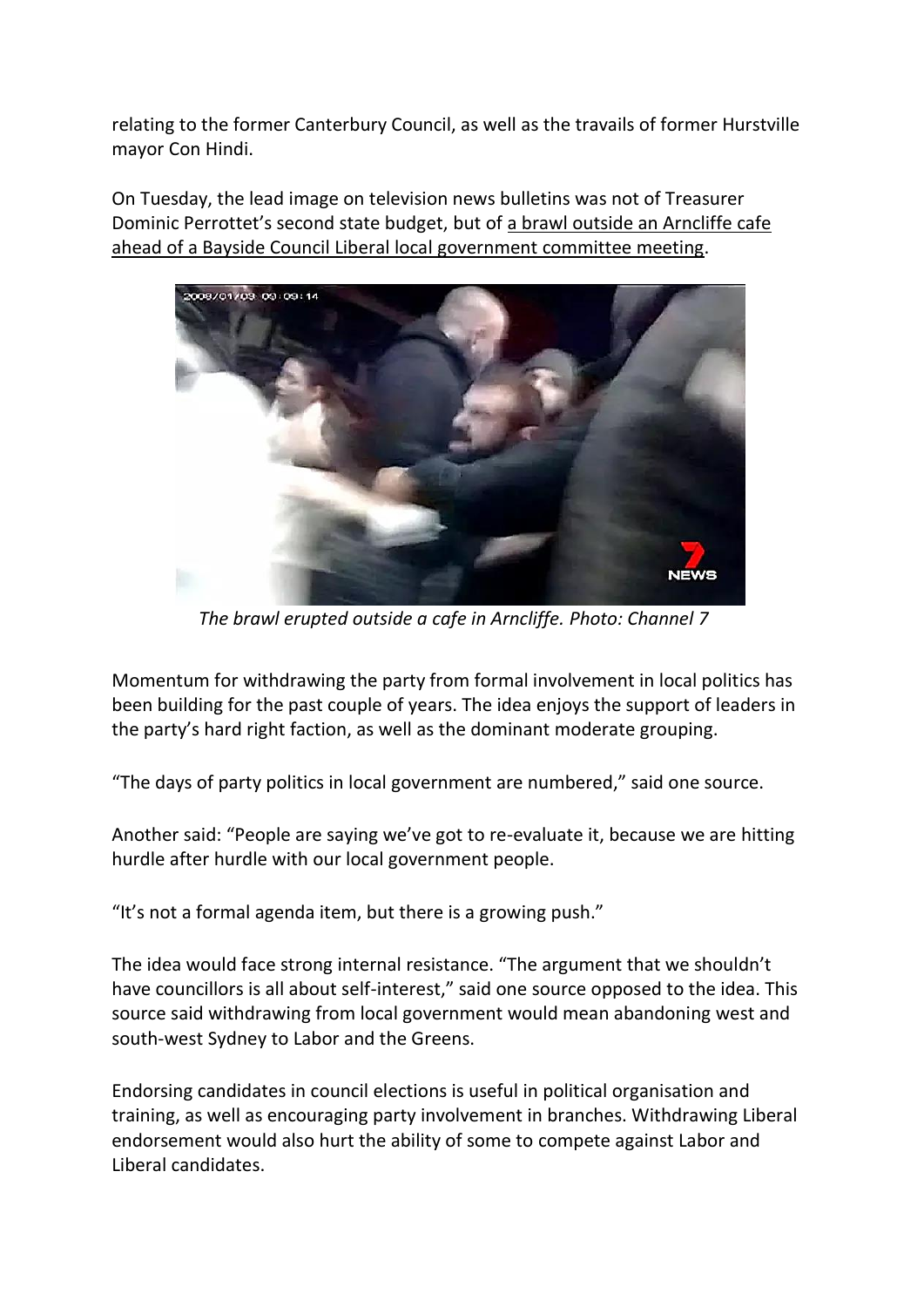relating to the former Canterbury Council, as well as the travails of former Hurstville mayor Con Hindi.

On Tuesday, the lead image on television news bulletins was not of Treasurer Dominic Perrottet's second state budget, but of a brawl outside an [Arncliffe](https://www.smh.com.au/link/follow-20170101-p4zm9i) cafe ahead of a Bayside Council Liberal local [government](https://www.smh.com.au/link/follow-20170101-p4zm9i) committee meeting.



*The brawl erupted outside a cafe in Arncliffe. Photo: Channel 7*

Momentum for withdrawing the party from formal involvement in local politics has been building for the past couple of years. The idea enjoys the support of leaders in the party's hard right faction, as well as the dominant moderate grouping.

"The days of party politics in local government are numbered," said one source.

Another said: "People are saying we've got to re-evaluate it, because we are hitting hurdle after hurdle with our local government people.

"It's not a formal agenda item, but there is a growing push."

The idea would face strong internal resistance. "The argument that we shouldn't have councillors is all about self-interest," said one source opposed to the idea. This source said withdrawing from local government would mean abandoning west and south-west Sydney to Labor and the Greens.

Endorsing candidates in council elections is useful in political organisation and training, as well as encouraging party involvement in branches. Withdrawing Liberal endorsement would also hurt the ability of some to compete against Labor and Liberal candidates.